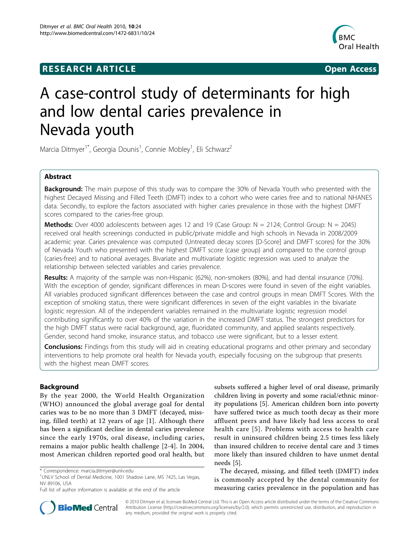# **RESEARCH ARTICLE Example 2014 CONSUMING ACCESS**



# A case-control study of determinants for high and low dental caries prevalence in Nevada youth

Marcia Ditmyer<sup>1\*</sup>, Georgia Dounis<sup>1</sup>, Connie Mobley<sup>1</sup>, Eli Schwarz<sup>2</sup>

# Abstract

**Background:** The main purpose of this study was to compare the 30% of Nevada Youth who presented with the highest Decayed Missing and Filled Teeth (DMFT) index to a cohort who were caries free and to national NHANES data. Secondly, to explore the factors associated with higher caries prevalence in those with the highest DMFT scores compared to the caries-free group.

**Methods:** Over 4000 adolescents between ages 12 and 19 (Case Group:  $N = 2124$ ; Control Group:  $N = 2045$ ) received oral health screenings conducted in public/private middle and high schools in Nevada in 2008/2009 academic year. Caries prevalence was computed (Untreated decay scores [D-Score] and DMFT scores) for the 30% of Nevada Youth who presented with the highest DMFT score (case group) and compared to the control group (caries-free) and to national averages. Bivariate and multivariate logistic regression was used to analyze the relationship between selected variables and caries prevalence.

Results: A majority of the sample was non-Hispanic (62%), non-smokers (80%), and had dental insurance (70%). With the exception of gender, significant differences in mean D-scores were found in seven of the eight variables. All variables produced significant differences between the case and control groups in mean DMFT Scores. With the exception of smoking status, there were significant differences in seven of the eight variables in the bivariate logistic regression. All of the independent variables remained in the multivariate logistic regression model contributing significantly to over 40% of the variation in the increased DMFT status. The strongest predictors for the high DMFT status were racial background, age, fluoridated community, and applied sealants respectively. Gender, second hand smoke, insurance status, and tobacco use were significant, but to a lesser extent.

**Conclusions:** Findings from this study will aid in creating educational programs and other primary and secondary interventions to help promote oral health for Nevada youth, especially focusing on the subgroup that presents with the highest mean DMFT scores.

# Background

By the year 2000, the World Health Organization (WHO) announced the global average goal for dental caries was to be no more than 3 DMFT (decayed, missing, filled teeth) at 12 years of age [\[1](#page-7-0)]. Although there has been a significant decline in dental caries prevalence since the early 1970s, oral disease, including caries, remains a major public health challenge [\[2](#page-7-0)-[4](#page-7-0)]. In 2004, most American children reported good oral health, but subsets suffered a higher level of oral disease, primarily children living in poverty and some racial/ethnic minority populations [\[5](#page-7-0)]. American children born into poverty have suffered twice as much tooth decay as their more affluent peers and have likely had less access to oral health care [[5](#page-7-0)]. Problems with access to health care result in uninsured children being 2.5 times less likely than insured children to receive dental care and 3 times more likely than insured children to have unmet dental needs [\[5](#page-7-0)].

The decayed, missing, and filled teeth (DMFT) index is commonly accepted by the dental community for measuring caries prevalence in the population and has



© 2010 Ditmyer et al; licensee BioMed Central Ltd. This is an Open Access article distributed under the terms of the Creative Commons Attribution License [\(http://creativecommons.org/licenses/by/2.0](http://creativecommons.org/licenses/by/2.0)), which permits unrestricted use, distribution, and reproduction in any medium, provided the original work is properly cited.

<sup>\*</sup> Correspondence: [marcia.ditmyer@unlv.edu](mailto:marcia.ditmyer@unlv.edu)

<sup>&</sup>lt;sup>1</sup>UNLV School of Dental Medicine, 1001 Shadow Lane, MS 7425, Las Vegas, NV 89106, USA

Full list of author information is available at the end of the article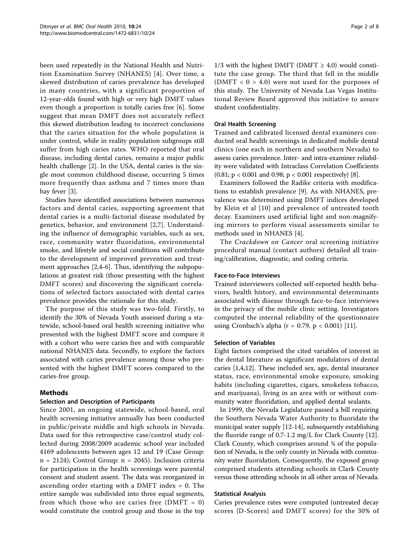been used repeatedly in the National Health and Nutrition Examination Survey (NHANES) [[4](#page-7-0)]. Over time, a skewed distribution of caries prevalence has developed in many countries, with a significant proportion of 12-year-olds found with high or very high DMFT values even though a proportion is totally caries free [\[6](#page-7-0)]. Some suggest that mean DMFT does not accurately reflect this skewed distribution leading to incorrect conclusions that the caries situation for the whole population is under control, while in reality population subgroups still suffer from high caries rates. WHO reported that oral disease, including dental caries, remains a major public health challenge [\[2](#page-7-0)]. In the USA, dental caries is the single most common childhood disease, occurring 5 times more frequently than asthma and 7 times more than hay fever [\[3\]](#page-7-0).

Studies have identified associations between numerous factors and dental caries, supporting agreement that dental caries is a multi-factorial disease modulated by genetics, behavior, and environment [[2,7](#page-7-0)]. Understanding the influence of demographic variables, such as sex, race, community water fluoridation, environmental smoke, and lifestyle and social conditions will contribute to the development of improved prevention and treatment approaches [[2,4-6\]](#page-7-0). Thus, identifying the subpopulations at greatest risk (those presenting with the highest DMFT scores) and discovering the significant correlations of selected factors associated with dental caries prevalence provides the rationale for this study.

The purpose of this study was two-fold. Firstly, to identify the 30% of Nevada Youth assessed during a statewide, school-based oral health screening initiative who presented with the highest DMFT score and compare it with a cohort who were caries free and with comparable national NHANES data. Secondly, to explore the factors associated with caries prevalence among those who presented with the highest DMFT scores compared to the caries-free group.

# Methods

# Selection and Description of Participants

Since 2001, an ongoing statewide, school-based, oral health screening initiative annually has been conducted in public/private middle and high schools in Nevada. Data used for this retrospective case/control study collected during 2008/2009 academic school year included 4169 adolescents between ages 12 and 19 (Case Group:  $n = 2124$ ; Control Group:  $n = 2045$ ). Inclusion criteria for participation in the health screenings were parental consent and student assent. The data was reorganized in ascending order starting with a DMFT index = 0. The entire sample was subdivided into three equal segments, from which those who are caries free  $(DMFT = 0)$ would constitute the control group and those in the top

1/3 with the highest DMFT (DMFT  $\geq$  4.0) would constitute the case group. The third that fell in the middle (DMFT  $<$  0  $>$  4.0) were not used for the purposes of this study. The University of Nevada Las Vegas Institutional Review Board approved this initiative to assure student confidentiality.

### Oral Health Screening

Trained and calibrated licensed dental examiners conducted oral health screenings in dedicated mobile dental clinics (one each in northern and southern Nevada) to assess caries prevalence. Inter- and intra-examiner reliability were validated with Intraclass Correlation Coefficients  $(0.81; p < 0.001$  $(0.81; p < 0.001$  $(0.81; p < 0.001$  and 0.98;  $p < 0.001$  respectively) [8].

Examiners followed the Radike criteria with modifications to establish prevalence [[9\]](#page-7-0). As with NHANES, prevalence was determined using DMFT indices developed by Klein et al [\[10\]](#page-7-0) and prevalence of untreated tooth decay. Examiners used artificial light and non-magnifying mirrors to perform visual assessments similar to methods used in NHANES [\[4](#page-7-0)].

The Crackdown on Cancer oral screening initiative procedural manual (contact authors) detailed all training/calibration, diagnostic, and coding criteria.

#### Face-to-Face Interviews

Trained interviewers collected self-reported health behaviors, health history, and environmental determinants associated with disease through face-to-face interviews in the privacy of the mobile clinic setting. Investigators computed the internal reliability of the questionnaire using Cronbach's alpha ( $r = 0.79$ ,  $p < 0.001$ ) [[11\]](#page-7-0).

#### Selection of Variables

Eight factors comprised the cited variables of interest in the dental literature as significant modulators of dental caries [\[1](#page-7-0),[4](#page-7-0),[12](#page-7-0)]. These included sex, age, dental insurance status, race, environmental smoke exposure, smoking habits (including cigarettes, cigars, smokeless tobacco, and marijuana), living in an area with or without community water fluoridation, and applied dental sealants.

In 1999, the Nevada Legislature passed a bill requiring the Southern Nevada Water Authority to fluoridate the municipal water supply [\[12-14](#page-7-0)], subsequently establishing the fluoride range of 0.7-1.2 mg/L for Clark County [\[12](#page-7-0)]. Clark County, which comprises around ¾ of the population of Nevada, is the only county in Nevada with community water fluoridation. Consequently, the exposed group comprised students attending schools in Clark County versus those attending schools in all other areas of Nevada.

# Statistical Analysis

Caries prevalence rates were computed (untreated decay scores {D-Scores} and DMFT scores) for the 30% of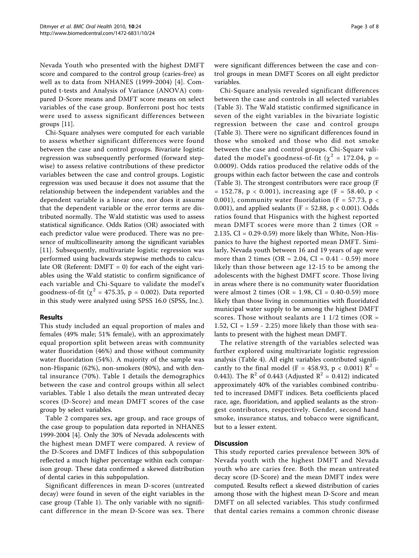Nevada Youth who presented with the highest DMFT score and compared to the control group (caries-free) as well as to data from NHANES (1999-2004) [[4\]](#page-7-0). Computed t-tests and Analysis of Variance (ANOVA) compared D-Score means and DMFT score means on select variables of the case group. Bonferroni post hoc tests were used to assess significant differences between groups [[11\]](#page-7-0).

Chi-Square analyses were computed for each variable to assess whether significant differences were found between the case and control groups. Bivariate logistic regression was subsequently performed (forward stepwise) to assess relative contributions of these predictor variables between the case and control groups. Logistic regression was used because it does not assume that the relationship between the independent variables and the dependent variable is a linear one, nor does it assume that the dependent variable or the error terms are distributed normally. The Wald statistic was used to assess statistical significance. Odds Ratios (OR) associated with each predictor value were produced. There was no presence of multicollinearity among the significant variables [[11](#page-7-0)]. Subsequently, multivariate logistic regression was performed using backwards stepwise methods to calculate OR (Referent:  $DMFT = 0$ ) for each of the eight variables using the Wald statistic to confirm significance of each variable and Chi-Square to validate the model's goodness-of-fit ( $\chi^2$  = 475.35, p = 0.002). Data reported in this study were analyzed using SPSS 16.0 (SPSS, Inc.).

# Results

This study included an equal proportion of males and females (49% male; 51% female), with an approximately equal proportion split between areas with community water fluoridation (46%) and those without community water fluoridation (54%). A majority of the sample was non-Hispanic (62%), non-smokers (80%), and with dental insurance (70%). Table [1](#page-3-0) details the demographics between the case and control groups within all select variables. Table [1](#page-3-0) also details the mean untreated decay scores (D-Score) and mean DMFT scores of the case group by select variables.

Table [2](#page-3-0) compares sex, age group, and race groups of the case group to population data reported in NHANES 1999-2004 [[4\]](#page-7-0). Only the 30% of Nevada adolescents with the highest mean DMFT were compared. A review of the D-Scores and DMFT Indices of this subpopulation reflected a much higher percentage within each comparison group. These data confirmed a skewed distribution of dental caries in this subpopulation.

Significant differences in mean D-scores (untreated decay) were found in seven of the eight variables in the case group (Table [1](#page-3-0)). The only variable with no significant difference in the mean D-Score was sex. There were significant differences between the case and control groups in mean DMFT Scores on all eight predictor variables.

Chi-Square analysis revealed significant differences between the case and controls in all selected variables (Table [3](#page-4-0)). The Wald statistic confirmed significance in seven of the eight variables in the bivariate logistic regression between the case and control groups (Table [3](#page-4-0)). There were no significant differences found in those who smoked and those who did not smoke between the case and control groups. Chi-Square validated the model's goodness-of-fit ( $\chi^2$  = 172.04, p = 0.0009). Odds ratios produced the relative odds of the groups within each factor between the case and controls (Table [3\)](#page-4-0). The strongest contributors were race group (F  $= 152.78$ , p < 0.001), increasing age (F = 58.40, p < 0.001), community water fluoridation (F = 57.73, p < 0.001), and applied sealants (F = 52.88, p < 0.001). Odds ratios found that Hispanics with the highest reported mean DMFT scores were more than 2 times (OR = 2.135, CI = 0.29-0.59) more likely than White, Non-Hispanics to have the highest reported mean DMFT. Similarly, Nevada youth between 16 and 19 years of age were more than 2 times (OR =  $2.04$ , CI =  $0.41 - 0.59$ ) more likely than those between age 12-15 to be among the adolescents with the highest DMFT score. Those living in areas where there is no community water fluoridation were almost 2 times (OR = 1.98, CI = 0.40-0.59) more likely than those living in communities with fluoridated municipal water supply to be among the highest DMFT scores. Those without sealants are  $1 \frac{1}{2}$  times (OR = 1.52,  $CI = 1.59 - 2.25$  more likely than those with sealants to present with the highest mean DMFT.

The relative strength of the variables selected was further explored using multivariate logistic regression analysis (Table [4\)](#page-5-0). All eight variables contributed significantly to the final model (F = 458.93, p < 0.001)  $\mathbb{R}^2$  = 0.443). The  $R^2$  of 0.443 (Adjusted  $R^2 = 0.412$ ) indicated approximately 40% of the variables combined contributed to increased DMFT indices. Beta coefficients placed race, age, fluoridation, and applied sealants as the strongest contributors, respectively. Gender, second hand smoke, insurance status, and tobacco were significant, but to a lesser extent.

#### **Discussion**

This study reported caries prevalence between 30% of Nevada youth with the highest DMFT and Nevada youth who are caries free. Both the mean untreated decay score (D-Score) and the mean DMFT index were computed. Results reflect a skewed distribution of caries among those with the highest mean D-Score and mean DMFT on all selected variables. This study confirmed that dental caries remains a common chronic disease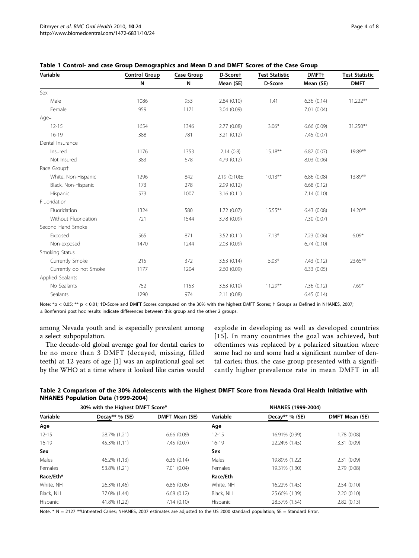| Variable               | <b>Control Group</b> | <b>Case Group</b> | D-Scoret         | <b>Test Statistic</b> | DMFT <sup>+</sup> | <b>Test Statistic</b> |
|------------------------|----------------------|-------------------|------------------|-----------------------|-------------------|-----------------------|
|                        | N                    | N                 | Mean (SE)        | D-Score               | Mean (SE)         | <b>DMFT</b>           |
| Sex                    |                      |                   |                  |                       |                   |                       |
| Male                   | 1086                 | 953               | 2.84(0.10)       | 1.41                  | 6.36(0.14)        | $11.222**$            |
| Female                 | 959                  | 1171              | 3.04(0.09)       |                       | 7.01 (0.04)       |                       |
| Age‡                   |                      |                   |                  |                       |                   |                       |
| $12 - 15$              | 1654                 | 1346              | 2.77(0.08)       | $3.06*$               | 6.66(0.09)        | 31.250**              |
| $16 - 19$              | 388                  | 781               | 3.21(0.12)       |                       | 7.45 (0.07)       |                       |
| Dental Insurance       |                      |                   |                  |                       |                   |                       |
| Insured                | 1176                 | 1353              | 2.14(0.8)        | $15.18***$            | 6.87(0.07)        | 19.89**               |
| Not Insured            | 383                  | 678               | 4.79 (0.12)      |                       | 8.03 (0.06)       |                       |
| Race Group‡            |                      |                   |                  |                       |                   |                       |
| White, Non-Hispanic    | 1296                 | 842               | $2.19(0.10) \pm$ | $10.13***$            | 6.86(0.08)        | 13.89**               |
| Black, Non-Hispanic    | 173                  | 278               | 2.99(0.12)       |                       | 6.68(0.12)        |                       |
| Hispanic               | 573                  | 1007              | 3.16(0.11)       |                       | 7.14(0.10)        |                       |
| Fluoridation           |                      |                   |                  |                       |                   |                       |
| Fluoridation           | 1324                 | 580               | 1.72(0.07)       | $15.55***$            | 6.43(0.08)        | 14.20**               |
| Without Fluoridation   | 721                  | 1544              | 3.78 (0.09)      |                       | 7.30 (0.07)       |                       |
| Second Hand Smoke      |                      |                   |                  |                       |                   |                       |
| Exposed                | 565                  | 871               | 3.52(0.11)       | $7.13*$               | 7.23 (0.06)       | $6.09*$               |
| Non-exposed            | 1470                 | 1244              | 2.03(0.09)       |                       | 6.74(0.10)        |                       |
| Smoking Status         |                      |                   |                  |                       |                   |                       |
| Currently Smoke        | 215                  | 372               | 3.53(0.14)       | $5.03*$               | 7.43(0.12)        | 23.65**               |
| Currently do not Smoke | 1177                 | 1204              | 2.60(0.09)       |                       | 6.33(0.05)        |                       |
| Applied Sealants       |                      |                   |                  |                       |                   |                       |
| No Sealants            | 752                  | 1153              | 3.63(0.10)       | $11.29***$            | 7.36(0.12)        | $7.69*$               |
| Sealants               | 1290                 | 974               | 2.11(0.08)       |                       | 6.45(0.14)        |                       |

<span id="page-3-0"></span>

| Table 1 Control- and case Group Demographics and Mean D and DMFT Scores of the Case Group |  |
|-------------------------------------------------------------------------------------------|--|
|-------------------------------------------------------------------------------------------|--|

Note: \*p < 0.05; \*\* p < 0.01; †D-Score and DMFT Scores computed on the 30% with the highest DMFT Scores; ‡ Groups as Defined in NHANES, 2007; ± Bonferroni post hoc results indicate differences between this group and the other 2 groups.

among Nevada youth and is especially prevalent among a select subpopulation.

The decade-old global average goal for dental caries to be no more than 3 DMFT (decayed, missing, filled teeth) at 12 years of age [\[1](#page-7-0)] was an aspirational goal set by the WHO at a time where it looked like caries would explode in developing as well as developed countries [[15](#page-7-0)]. In many countries the goal was achieved, but oftentimes was replaced by a polarized situation where some had no and some had a significant number of dental caries; thus, the case group presented with a significantly higher prevalence rate in mean DMFT in all

Table 2 Comparison of the 30% Adolescents with the Highest DMFT Score from Nevada Oral Health Initiative with NHANES Population Data (1999-2004)

|           | 30% with the Highest DMFT Score* |                |           | NHANES (1999-2004) |                |
|-----------|----------------------------------|----------------|-----------|--------------------|----------------|
| Variable  | Decay** % (SE)                   | DMFT Mean (SE) | Variable  | Decay** $%$ (SE)   | DMFT Mean (SE) |
| Age       |                                  |                | Age       |                    |                |
| $12 - 15$ | 28.7% (1.21)                     | 6.66(0.09)     | $12 - 15$ | 16.91% (0.99)      | 1.78 (0.08)    |
| $16 - 19$ | 45.3% (1.11)                     | 7.45(0.07)     | $16 - 19$ | 22.24% (1.45)      | 3.31(0.09)     |
| Sex       |                                  |                | Sex       |                    |                |
| Males     | 46.2% (1.13)                     | 6.36(0.14)     | Males     | 19.89% (1.22)      | 2.31(0.09)     |
| Females   | 53.8% (1.21)                     | 7.01(0.04)     | Females   | 19.31% (1.30)      | 2.79(0.08)     |
| Race/Eth* |                                  |                | Race/Eth  |                    |                |
| White, NH | 26.3% (1.46)                     | 6.86(0.08)     | White, NH | 16.22% (1.45)      | 2.54(0.10)     |
| Black, NH | 37.0% (1.44)                     | 6.68(0.12)     | Black, NH | 25.66% (1.39)      | 2.20(0.10)     |
| Hispanic  | 41.8% (1.22)                     | 7.14(0.10)     | Hispanic  | 28.57% (1.54)      | 2.82(0.13)     |

Note. \* N = 2127 \*\*Untreated Caries; NHANES, 2007 estimates are adjusted to the US 2000 standard population; SE = Standard Error.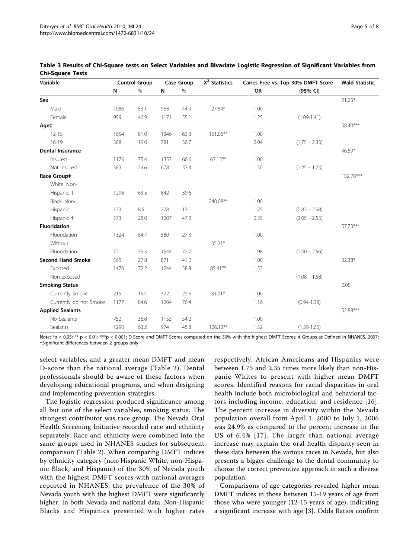| Variable                 | <b>Control Group</b> |      | Case Group |      | $X^2$ Statistics | Caries Free vs. Top 30% DMFT Score |                 | <b>Wald Statistic</b> |
|--------------------------|----------------------|------|------------|------|------------------|------------------------------------|-----------------|-----------------------|
|                          | N                    | $\%$ | N          | $\%$ |                  | OR                                 | (95% CI)        |                       |
| Sex                      |                      |      |            |      |                  |                                    |                 | $21.25*$              |
| Male                     | 1086                 | 53.1 | 953        | 44.9 | 27.64*           | 1.00                               |                 |                       |
| Female                   | 959                  | 46.9 | 1171       | 55.1 |                  | 1.25                               | $(1.09 - 1.41)$ |                       |
| Age‡                     |                      |      |            |      |                  |                                    |                 | 58.40***              |
| $12 - 15$                | 1654                 | 81.0 | 1346       | 63.3 | 161.06**         | 1.00                               |                 |                       |
| $16 - 19$                | 388                  | 19.0 | 781        | 36.7 |                  | 2.04                               | $(1.75 - 2.33)$ |                       |
| <b>Dental Insurance</b>  |                      |      |            |      |                  |                                    |                 | 46.59*                |
| Insured                  | 1176                 | 75.4 | 1353       | 66.6 | 63.13**          | 1.00                               |                 |                       |
| Not Insured              | 383                  | 24.6 | 678        | 33.4 |                  | 1.50                               | $(1.25 - 1.75)$ |                       |
| Race Group‡              |                      |      |            |      |                  |                                    |                 | 152.78***             |
| White, Non-              |                      |      |            |      |                  |                                    |                 |                       |
| Hispanic +               | 1296                 | 63.5 | 842        | 39.6 |                  |                                    |                 |                       |
| Black, Non-              |                      |      |            |      | 240.08**         | 1.00                               |                 |                       |
| Hispanic                 | 173                  | 8.5  | 278        | 13.1 |                  | 1.75                               | $(0.82 - 2.98)$ |                       |
| Hispanic +               | 573                  | 28.0 | 1007       | 47.3 |                  | 2.35                               | $(2.05 - 2.55)$ |                       |
| <b>Fluoridation</b>      |                      |      |            |      |                  |                                    |                 | 57.73***              |
| Fluoridation             | 1324                 | 64.7 | 580        | 27.3 |                  | 1.00                               |                 |                       |
| Without                  |                      |      |            |      | 35.21*           |                                    |                 |                       |
| Fluoridation             | 721                  | 35.3 | 1544       | 72.7 |                  | 1.98                               | $(1.40 - 2.56)$ |                       |
| <b>Second Hand Smoke</b> | 565                  | 27.8 | 871        | 41.2 |                  | 1.00                               |                 | 32.38*                |
| Exposed                  | 1470                 | 72.2 | 1244       | 58.8 | 85.41**          | 1.33                               |                 |                       |
| Non-exposed              |                      |      |            |      |                  |                                    | $(1.08 - 1.58)$ |                       |
| <b>Smoking Status</b>    |                      |      |            |      |                  |                                    |                 | 2.05                  |
| Currently Smoke          | 215                  | 15.4 | 372        | 23.6 | 31.01*           | 1.00                               |                 |                       |
| Currently do not Smoke   | 1177                 | 84.6 | 1204       | 76.4 |                  | 1.16                               | $(0.94 - 1.38)$ |                       |
| <b>Applied Sealants</b>  |                      |      |            |      |                  |                                    |                 | 52.88***              |
| No Sealants              | 752                  | 36.8 | 1153       | 54.2 |                  | 1.00                               |                 |                       |
| Sealants                 | 1290                 | 63.2 | 974        | 45.8 | $126.13**$       | 1.52                               | $(1.39 - 1.65)$ |                       |

<span id="page-4-0"></span>Table 3 Results of Chi-Square tests on Select Variables and Bivariate Logistic Regression of Significant Variables from Chi-Square Tests

Note: \*p < 0.05; \*\* p < 0.01; \*\*\*p < 0.001; D-Score and DMFT Scores computed on the 30% with the highest DMFT Scores; ‡ Groups as Defined in NHANES, 2007; †Significant differences between 2 groups only

select variables, and a greater mean DMFT and mean D-score than the national average (Table [2\)](#page-3-0). Dental professionals should be aware of these factors when developing educational programs, and when designing and implementing prevention strategies

The logistic regression produced significance among all but one of the select variables, smoking status. The strongest contributor was race group. The Nevada Oral Health Screening Initiative recorded race and ethnicity separately. Race and ethnicity were combined into the same groups used in NHANES studies for subsequent comparison (Table [2](#page-3-0)). When comparing DMFT indices by ethnicity category (non-Hispanic White, non-Hispanic Black, and Hispanic) of the 30% of Nevada youth with the highest DMFT scores with national averages reported in NHANES, the prevalence of the 30% of Nevada youth with the highest DMFT were significantly higher. In both Nevada and national data, Non-Hispanic Blacks and Hispanics presented with higher rates

respectively. African Americans and Hispanics were between 1.75 and 2.35 times more likely than non-Hispanic Whites to present with higher mean DMFT scores. Identified reasons for racial disparities in oral health include both microbiological and behavioral factors including income, education, and residence [[16\]](#page-7-0). The percent increase in diversity within the Nevada population overall from April 1, 2000 to July 1, 2006 was 24.9% as compared to the percent increase in the US of 6.4% [[17](#page-7-0)]. The larger than national average increase may explain the oral health disparity seen in these data between the various races in Nevada, but also presents a bigger challenge to the dental community to choose the correct preventive approach in such a diverse population.

Comparisons of age categories revealed higher mean DMFT indices in those between 15-19 years of age from those who were younger (12-15 years of age), indicating a significant increase with age [[3\]](#page-7-0). Odds Ratios confirm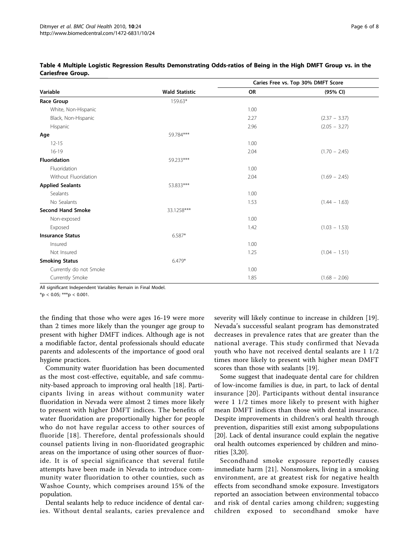|                          |                       | Caries Free vs. Top 30% DMFT Score |                 |  |  |
|--------------------------|-----------------------|------------------------------------|-----------------|--|--|
| Variable                 | <b>Wald Statistic</b> | <b>OR</b>                          | (95% CI)        |  |  |
| Race Group               | 159.63*               |                                    |                 |  |  |
| White, Non-Hispanic      |                       | 1.00                               |                 |  |  |
| Black, Non-Hispanic      |                       | 2.27                               | $(2.37 - 3.37)$ |  |  |
| Hispanic                 |                       | 2.96                               | $(2.05 - 3.27)$ |  |  |
| Age                      | 59.784***             |                                    |                 |  |  |
| $12 - 15$                |                       | 1.00                               |                 |  |  |
| $16 - 19$                |                       | 2.04                               | $(1.70 - 2.45)$ |  |  |
| Fluoridation             | 59.233***             |                                    |                 |  |  |
| Fluoridation             |                       | 1.00                               |                 |  |  |
| Without Fluoridation     |                       | 2.04                               | $(1.69 - 2.45)$ |  |  |
| <b>Applied Sealants</b>  | 53.833***             |                                    |                 |  |  |
| Sealants                 |                       | 1.00                               |                 |  |  |
| No Sealants              |                       | 1.53                               | $(1.44 - 1.63)$ |  |  |
| <b>Second Hand Smoke</b> | 33.1258***            |                                    |                 |  |  |
| Non-exposed              |                       | 1.00                               |                 |  |  |
| Exposed                  |                       | 1.42                               | $(1.03 - 1.53)$ |  |  |
| <b>Insurance Status</b>  | $6.587*$              |                                    |                 |  |  |
| Insured                  |                       | 1.00                               |                 |  |  |
| Not Insured              |                       | 1.25                               | $(1.04 - 1.51)$ |  |  |
| <b>Smoking Status</b>    | $6.479*$              |                                    |                 |  |  |
| Currently do not Smoke   |                       | 1.00                               |                 |  |  |
| Currently Smoke          |                       | 1.85                               | $(1.68 - 2.06)$ |  |  |

#### <span id="page-5-0"></span>Table 4 Multiple Logistic Regression Results Demonstrating Odds-ratios of Being in the High DMFT Group vs. in the Cariesfree Group.

All significant Independent Variables Remain in Final Model.

 $*<sub>p</sub> < 0.05; **<sub>p</sub> < 0.001$ .

the finding that those who were ages 16-19 were more than 2 times more likely than the younger age group to present with higher DMFT indices. Although age is not a modifiable factor, dental professionals should educate parents and adolescents of the importance of good oral hygiene practices.

Community water fluoridation has been documented as the most cost-effective, equitable, and safe community-based approach to improving oral health [\[18](#page-7-0)]. Participants living in areas without community water fluoridation in Nevada were almost 2 times more likely to present with higher DMFT indices. The benefits of water fluoridation are proportionally higher for people who do not have regular access to other sources of fluoride [[18](#page-7-0)]. Therefore, dental professionals should counsel patients living in non-fluoridated geographic areas on the importance of using other sources of fluoride. It is of special significance that several futile attempts have been made in Nevada to introduce community water fluoridation to other counties, such as Washoe County, which comprises around 15% of the population.

Dental sealants help to reduce incidence of dental caries. Without dental sealants, caries prevalence and severity will likely continue to increase in children [\[19](#page-7-0)]. Nevada's successful sealant program has demonstrated decreases in prevalence rates that are greater than the national average. This study confirmed that Nevada youth who have not received dental sealants are 1 1/2 times more likely to present with higher mean DMFT scores than those with sealants [[19](#page-7-0)].

Some suggest that inadequate dental care for children of low-income families is due, in part, to lack of dental insurance [[20](#page-7-0)]. Participants without dental insurance were 1 1/2 times more likely to present with higher mean DMFT indices than those with dental insurance. Despite improvements in children's oral health through prevention, disparities still exist among subpopulations [[20\]](#page-7-0). Lack of dental insurance could explain the negative oral health outcomes experienced by children and minorities [\[3,20\]](#page-7-0).

Secondhand smoke exposure reportedly causes immediate harm [[21\]](#page-7-0). Nonsmokers, living in a smoking environment, are at greatest risk for negative health effects from secondhand smoke exposure. Investigators reported an association between environmental tobacco and risk of dental caries among children; suggesting children exposed to secondhand smoke have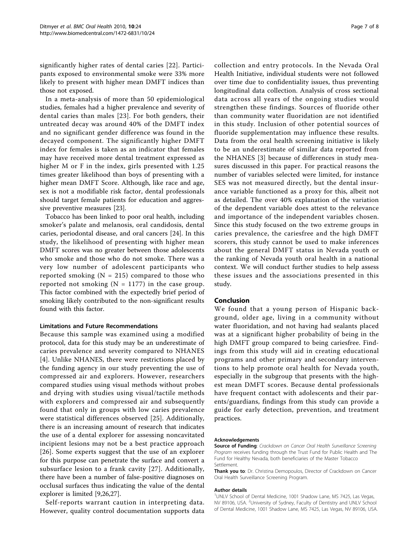significantly higher rates of dental caries [[22\]](#page-7-0). Participants exposed to environmental smoke were 33% more likely to present with higher mean DMFT indices than those not exposed.

In a meta-analysis of more than 50 epidemiological studies, females had a higher prevalence and severity of dental caries than males [[23](#page-7-0)]. For both genders, their untreated decay was around 40% of the DMFT index and no significant gender difference was found in the decayed component. The significantly higher DMFT index for females is taken as an indicator that females may have received more dental treatment expressed as higher M or F in the index, girls presented with 1.25 times greater likelihood than boys of presenting with a higher mean DMFT Score. Although, like race and age, sex is not a modifiable risk factor, dental professionals should target female patients for education and aggressive preventive measures [\[23](#page-7-0)].

Tobacco has been linked to poor oral health, including smoker's palate and melanosis, oral candidosis, dental caries, periodontal disease, and oral cancers [[24\]](#page-7-0). In this study, the likelihood of presenting with higher mean DMFT scores was no greater between those adolescents who smoke and those who do not smoke. There was a very low number of adolescent participants who reported smoking ( $N = 215$ ) compared to those who reported not smoking ( $N = 1177$ ) in the case group. This factor combined with the expectedly brief period of smoking likely contributed to the non-significant results found with this factor.

#### Limitations and Future Recommendations

Because this sample was examined using a modified protocol, data for this study may be an underestimate of caries prevalence and severity compared to NHANES [[4](#page-7-0)]. Unlike NHANES, there were restrictions placed by the funding agency in our study preventing the use of compressed air and explorers. However, researchers compared studies using visual methods without probes and drying with studies using visual/tactile methods with explorers and compressed air and subsequently found that only in groups with low caries prevalence were statistical differences observed [[25](#page-7-0)]. Additionally, there is an increasing amount of research that indicates the use of a dental explorer for assessing noncavitated incipient lesions may not be a best practice approach [[26](#page-7-0)]. Some experts suggest that the use of an explorer for this purpose can penetrate the surface and convert a subsurface lesion to a frank cavity [[27](#page-7-0)]. Additionally, there have been a number of false-positive diagnoses on occlusal surfaces thus indicating the value of the dental explorer is limited [\[9,26,27\]](#page-7-0).

Self-reports warrant caution in interpreting data. However, quality control documentation supports data collection and entry protocols. In the Nevada Oral Health Initiative, individual students were not followed over time due to confidentiality issues, thus preventing longitudinal data collection. Analysis of cross sectional data across all years of the ongoing studies would strengthen these findings. Sources of fluoride other than community water fluoridation are not identified in this study. Inclusion of other potential sources of fluoride supplementation may influence these results. Data from the oral health screening initiative is likely to be an underestimate of similar data reported from the NHANES [[3\]](#page-7-0) because of differences in study measures discussed in this paper. For practical reasons the number of variables selected were limited, for instance SES was not measured directly, but the dental insurance variable functioned as a proxy for this, albeit not as detailed. The over 40% explanation of the variation of the dependent variable does attest to the relevance and importance of the independent variables chosen. Since this study focused on the two extreme groups in caries prevalence, the cariesfree and the high DMFT scorers, this study cannot be used to make inferences about the general DMFT status in Nevada youth or the ranking of Nevada youth oral health in a national context. We will conduct further studies to help assess these issues and the associations presented in this study.

#### Conclusion

We found that a young person of Hispanic background, older age, living in a community without water fluoridation, and not having had sealants placed was at a significant higher probability of being in the high DMFT group compared to being cariesfree. Findings from this study will aid in creating educational programs and other primary and secondary interventions to help promote oral health for Nevada youth, especially in the subgroup that presents with the highest mean DMFT scores. Because dental professionals have frequent contact with adolescents and their parents/guardians, findings from this study can provide a guide for early detection, prevention, and treatment practices.

#### Acknowledgements

#### Author details

<sup>1</sup>UNLV School of Dental Medicine, 1001 Shadow Lane, MS 7425, Las Vegas, NV 89106, USA. <sup>2</sup>University of Sydney, Faculty of Dentistry and UNLV School of Dental Medicine, 1001 Shadow Lane, MS 7425, Las Vegas, NV 89106, USA.

Source of Funding: Crackdown on Cancer Oral Health Surveillance Screening Program receives funding through the Trust Fund for Public Health and The Fund for Healthy Nevada, both beneficiaries of the Master Tobacco Settlement.

Thank you to: Dr. Christina Demopoulos, Director of Crackdown on Cancer Oral Health Surveillance Screening Program.